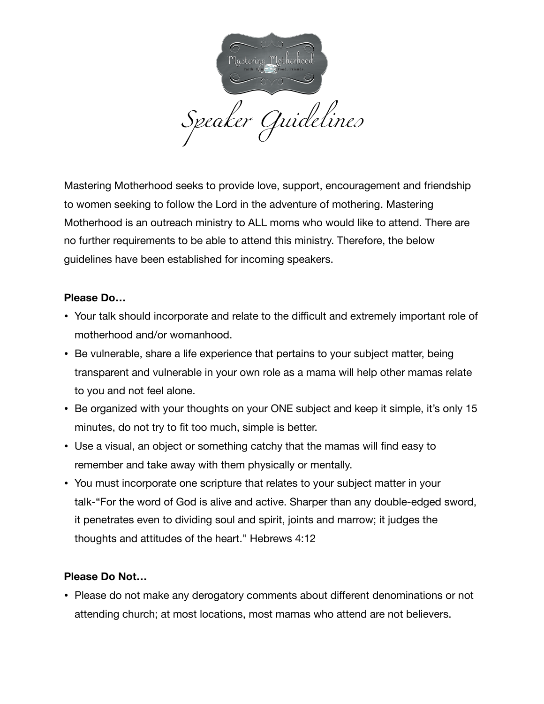

Mastering Motherhood seeks to provide love, support, encouragement and friendship to women seeking to follow the Lord in the adventure of mothering. Mastering Motherhood is an outreach ministry to ALL moms who would like to attend. There are no further requirements to be able to attend this ministry. Therefore, the below guidelines have been established for incoming speakers.

## **Please Do…**

- Your talk should incorporate and relate to the difficult and extremely important role of motherhood and/or womanhood.
- Be vulnerable, share a life experience that pertains to your subject matter, being transparent and vulnerable in your own role as a mama will help other mamas relate to you and not feel alone.
- Be organized with your thoughts on your ONE subject and keep it simple, it's only 15 minutes, do not try to fit too much, simple is better.
- Use a visual, an object or something catchy that the mamas will find easy to remember and take away with them physically or mentally.
- You must incorporate one scripture that relates to your subject matter in your talk-"For the word of God is alive and active. Sharper than any double-edged sword, it penetrates even to dividing soul and spirit, joints and marrow; it judges the thoughts and attitudes of the heart." Hebrews 4:12

## **Please Do Not…**

• Please do not make any derogatory comments about different denominations or not attending church; at most locations, most mamas who attend are not believers.